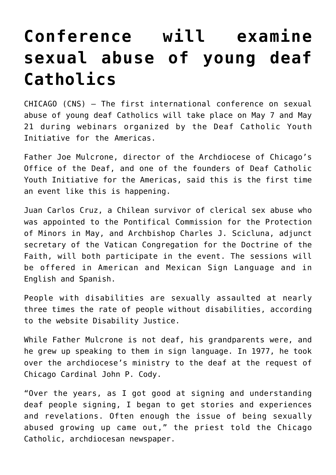## **[Conference will examine](https://www.osvnews.com/2021/05/04/conference-will-examine-sexual-abuse-of-young-deaf-catholics/) [sexual abuse of young deaf](https://www.osvnews.com/2021/05/04/conference-will-examine-sexual-abuse-of-young-deaf-catholics/) [Catholics](https://www.osvnews.com/2021/05/04/conference-will-examine-sexual-abuse-of-young-deaf-catholics/)**

CHICAGO (CNS) — The first international conference on sexual abuse of young deaf Catholics will take place on May 7 and May 21 during webinars organized by the Deaf Catholic Youth Initiative for the Americas.

Father Joe Mulcrone, director of the Archdiocese of Chicago's Office of the Deaf, and one of the founders of Deaf Catholic Youth Initiative for the Americas, said this is the first time an event like this is happening.

Juan Carlos Cruz, a Chilean survivor of clerical sex abuse who was appointed to the Pontifical Commission for the Protection of Minors in May, and Archbishop Charles J. Scicluna, adjunct secretary of the Vatican Congregation for the Doctrine of the Faith, will both participate in the event. The sessions will be offered in American and Mexican Sign Language and in English and Spanish.

People with disabilities are sexually assaulted at nearly three times the rate of people without disabilities, according to the website Disability Justice.

While Father Mulcrone is not deaf, his grandparents were, and he grew up speaking to them in sign language. In 1977, he took over the archdiocese's ministry to the deaf at the request of Chicago Cardinal John P. Cody.

"Over the years, as I got good at signing and understanding deaf people signing, I began to get stories and experiences and revelations. Often enough the issue of being sexually abused growing up came out," the priest told the Chicago Catholic, archdiocesan newspaper.